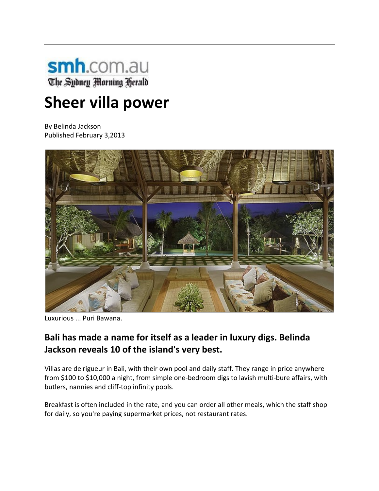

# **Sheer villa power**

By Belinda Jackson Published February 3,2013



Luxurious ... Puri Bawana.

# **Bali has made a name for itself as a leader in luxury digs. Belinda Jackson reveals 10 of the island's very best.**

Villas are de rigueur in Bali, with their own pool and daily staff. They range in price anywhere from \$100 to \$10,000 a night, from simple one-bedroom digs to lavish multi-bure affairs, with butlers, nannies and cliff‐top infinity pools.

Breakfast is often included in the rate, and you can order all other meals, which the staff shop for daily, so you're paying supermarket prices, not restaurant rates.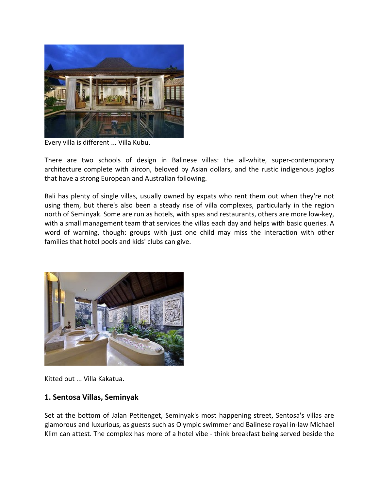

Every villa is different ... Villa Kubu.

There are two schools of design in Balinese villas: the all-white, super-contemporary architecture complete with aircon, beloved by Asian dollars, and the rustic indigenous joglos that have a strong European and Australian following.

Bali has plenty of single villas, usually owned by expats who rent them out when they're not using them, but there's also been a steady rise of villa complexes, particularly in the region north of Seminyak. Some are run as hotels, with spas and restaurants, others are more low‐key, with a small management team that services the villas each day and helps with basic queries. A word of warning, though: groups with just one child may miss the interaction with other families that hotel pools and kids' clubs can give.



Kitted out ... Villa Kakatua.

#### **1. Sentosa Villas, Seminyak**

Set at the bottom of Jalan Petitenget, Seminyak's most happening street, Sentosa's villas are glamorous and luxurious, as guests such as Olympic swimmer and Balinese royal in‐law Michael Klim can attest. The complex has more of a hotel vibe ‐ think breakfast being served beside the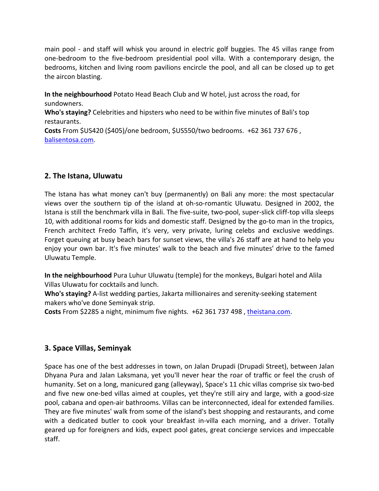main pool - and staff will whisk you around in electric golf buggies. The 45 villas range from one‐bedroom to the five‐bedroom presidential pool villa. With a contemporary design, the bedrooms, kitchen and living room pavilions encircle the pool, and all can be closed up to get the aircon blasting.

**In the neighbourhood** Potato Head Beach Club and W hotel, just across the road, for sundowners.

**Who's staying?** Celebrities and hipsters who need to be within five minutes of Bali's top restaurants.

**Costs** From \$US420 (\$405)/one bedroom, \$US550/two bedrooms. +62 361 737 676 , balisentosa.com.

#### **2. The Istana, Uluwatu**

The Istana has what money can't buy (permanently) on Bali any more: the most spectacular views over the southern tip of the island at oh‐so‐romantic Uluwatu. Designed in 2002, the Istana is still the benchmark villa in Bali. The five‐suite, two‐pool, super‐slick cliff‐top villa sleeps 10, with additional rooms for kids and domestic staff. Designed by the go-to man in the tropics, French architect Fredo Taffin, it's very, very private, luring celebs and exclusive weddings. Forget queuing at busy beach bars for sunset views, the villa's 26 staff are at hand to help you enjoy your own bar. It's five minutes' walk to the beach and five minutes' drive to the famed Uluwatu Temple.

**In the neighbourhood** Pura Luhur Uluwatu (temple) for the monkeys, Bulgari hotel and Alila Villas Uluwatu for cocktails and lunch.

**Who's staying?** A‐list wedding parties, Jakarta millionaires and serenity‐seeking statement makers who've done Seminyak strip.

**Costs** From \$2285 a night, minimum five nights. +62 361 737 498 , theistana.com.

# **3. Space Villas, Seminyak**

Space has one of the best addresses in town, on Jalan Drupadi (Drupadi Street), between Jalan Dhyana Pura and Jalan Laksmana, yet you'll never hear the roar of traffic or feel the crush of humanity. Set on a long, manicured gang (alleyway), Space's 11 chic villas comprise six two‐bed and five new one-bed villas aimed at couples, yet they're still airy and large, with a good-size pool, cabana and open‐air bathrooms. Villas can be interconnected, ideal for extended families. They are five minutes' walk from some of the island's best shopping and restaurants, and come with a dedicated butler to cook your breakfast in-villa each morning, and a driver. Totally geared up for foreigners and kids, expect pool gates, great concierge services and impeccable staff.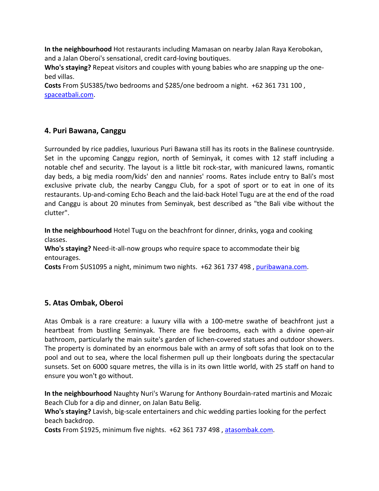**In the neighbourhood** Hot restaurants including Mamasan on nearby Jalan Raya Kerobokan, and a Jalan Oberoi's sensational, credit card‐loving boutiques.

**Who's staying?** Repeat visitors and couples with young babies who are snapping up the one‐ bed villas.

**Costs** From \$US385/two bedrooms and \$285/one bedroom a night. +62 361 731 100 , spaceatbali.com.

### **4. Puri Bawana, Canggu**

Surrounded by rice paddies, luxurious Puri Bawana still has its roots in the Balinese countryside. Set in the upcoming Canggu region, north of Seminyak, it comes with 12 staff including a notable chef and security. The layout is a little bit rock‐star, with manicured lawns, romantic day beds, a big media room/kids' den and nannies' rooms. Rates include entry to Bali's most exclusive private club, the nearby Canggu Club, for a spot of sport or to eat in one of its restaurants. Up‐and‐coming Echo Beach and the laid‐back Hotel Tugu are at the end of the road and Canggu is about 20 minutes from Seminyak, best described as "the Bali vibe without the clutter".

**In the neighbourhood** Hotel Tugu on the beachfront for dinner, drinks, yoga and cooking classes.

**Who's staying?** Need‐it‐all‐now groups who require space to accommodate their big entourages.

**Costs** From \$US1095 a night, minimum two nights. +62 361 737 498 , puribawana.com.

# **5. Atas Ombak, Oberoi**

Atas Ombak is a rare creature: a luxury villa with a 100‐metre swathe of beachfront just a heartbeat from bustling Seminyak. There are five bedrooms, each with a divine open-air bathroom, particularly the main suite's garden of lichen‐covered statues and outdoor showers. The property is dominated by an enormous bale with an army of soft sofas that look on to the pool and out to sea, where the local fishermen pull up their longboats during the spectacular sunsets. Set on 6000 square metres, the villa is in its own little world, with 25 staff on hand to ensure you won't go without.

**In the neighbourhood** Naughty Nuri's Warung for Anthony Bourdain‐rated martinis and Mozaic Beach Club for a dip and dinner, on Jalan Batu Belig.

**Who's staying?** Lavish, big‐scale entertainers and chic wedding parties looking for the perfect beach backdrop.

**Costs** From \$1925, minimum five nights. +62 361 737 498 , atasombak.com.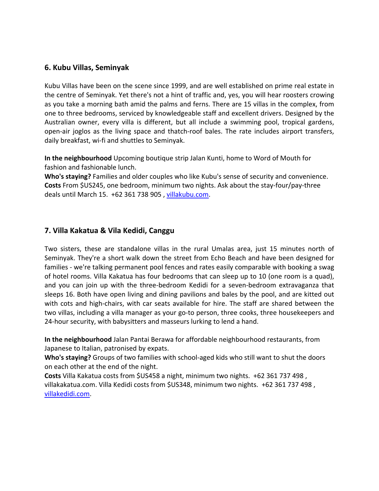#### **6. Kubu Villas, Seminyak**

Kubu Villas have been on the scene since 1999, and are well established on prime real estate in the centre of Seminyak. Yet there's not a hint of traffic and, yes, you will hear roosters crowing as you take a morning bath amid the palms and ferns. There are 15 villas in the complex, from one to three bedrooms, serviced by knowledgeable staff and excellent drivers. Designed by the Australian owner, every villa is different, but all include a swimming pool, tropical gardens, open‐air joglos as the living space and thatch‐roof bales. The rate includes airport transfers, daily breakfast, wi‐fi and shuttles to Seminyak.

**In the neighbourhood** Upcoming boutique strip Jalan Kunti, home to Word of Mouth for fashion and fashionable lunch.

**Who's staying?** Families and older couples who like Kubu's sense of security and convenience. **Costs** From \$US245, one bedroom, minimum two nights. Ask about the stay‐four/pay‐three deals until March 15. +62 361 738 905 , villakubu.com.

#### **7. Villa Kakatua & Vila Kedidi, Canggu**

Two sisters, these are standalone villas in the rural Umalas area, just 15 minutes north of Seminyak. They're a short walk down the street from Echo Beach and have been designed for families ‐ we're talking permanent pool fences and rates easily comparable with booking a swag of hotel rooms. Villa Kakatua has four bedrooms that can sleep up to 10 (one room is a quad), and you can join up with the three‐bedroom Kedidi for a seven‐bedroom extravaganza that sleeps 16. Both have open living and dining pavilions and bales by the pool, and are kitted out with cots and high-chairs, with car seats available for hire. The staff are shared between the two villas, including a villa manager as your go-to person, three cooks, three housekeepers and 24‐hour security, with babysitters and masseurs lurking to lend a hand.

**In the neighbourhood** Jalan Pantai Berawa for affordable neighbourhood restaurants, from Japanese to Italian, patronised by expats.

**Who's staying?** Groups of two families with school‐aged kids who still want to shut the doors on each other at the end of the night.

**Costs** Villa Kakatua costs from \$US458 a night, minimum two nights. +62 361 737 498 , villakakatua.com. Villa Kedidi costs from \$US348, minimum two nights. +62 361 737 498 , villakedidi.com.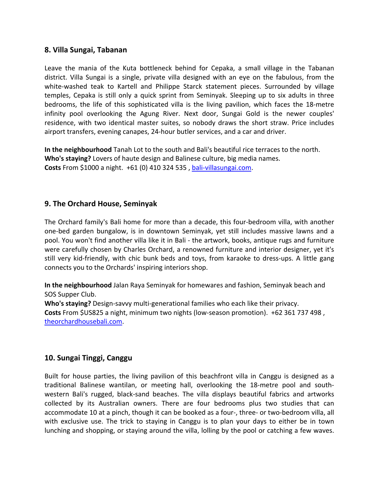#### **8. Villa Sungai, Tabanan**

Leave the mania of the Kuta bottleneck behind for Cepaka, a small village in the Tabanan district. Villa Sungai is a single, private villa designed with an eye on the fabulous, from the white-washed teak to Kartell and Philippe Starck statement pieces. Surrounded by village temples, Cepaka is still only a quick sprint from Seminyak. Sleeping up to six adults in three bedrooms, the life of this sophisticated villa is the living pavilion, which faces the 18‐metre infinity pool overlooking the Agung River. Next door, Sungai Gold is the newer couples' residence, with two identical master suites, so nobody draws the short straw. Price includes airport transfers, evening canapes, 24‐hour butler services, and a car and driver.

**In the neighbourhood** Tanah Lot to the south and Bali's beautiful rice terraces to the north. **Who's staying?** Lovers of haute design and Balinese culture, big media names. **Costs** From \$1000 a night. +61 (0) 410 324 535 , bali‐villasungai.com.

#### **9. The Orchard House, Seminyak**

The Orchard family's Bali home for more than a decade, this four‐bedroom villa, with another one‐bed garden bungalow, is in downtown Seminyak, yet still includes massive lawns and a pool. You won't find another villa like it in Bali ‐ the artwork, books, antique rugs and furniture were carefully chosen by Charles Orchard, a renowned furniture and interior designer, yet it's still very kid-friendly, with chic bunk beds and toys, from karaoke to dress-ups. A little gang connects you to the Orchards' inspiring interiors shop.

**In the neighbourhood** Jalan Raya Seminyak for homewares and fashion, Seminyak beach and SOS Supper Club.

**Who's staying?** Design‐savvy multi‐generational families who each like their privacy. **Costs** From \$US825 a night, minimum two nights (low‐season promotion). +62 361 737 498 , theorchardhousebali.com.

#### **10. Sungai Tinggi, Canggu**

Built for house parties, the living pavilion of this beachfront villa in Canggu is designed as a traditional Balinese wantilan, or meeting hall, overlooking the 18‐metre pool and south‐ western Bali's rugged, black‐sand beaches. The villa displays beautiful fabrics and artworks collected by its Australian owners. There are four bedrooms plus two studies that can accommodate 10 at a pinch, though it can be booked as a four‐, three‐ or two‐bedroom villa, all with exclusive use. The trick to staying in Canggu is to plan your days to either be in town lunching and shopping, or staying around the villa, lolling by the pool or catching a few waves.